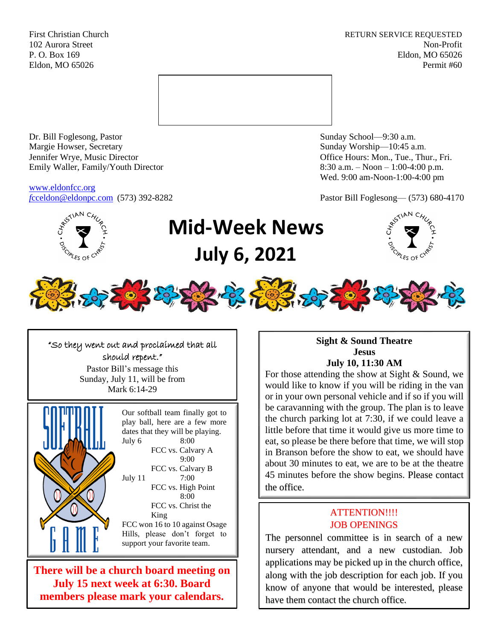First Christian Church **RETURN SERVICE REQUESTED** 102 Aurora Street Non-Profit P. O. Box 169 Eldon, MO 65026 Eldon, MO 65026 Permit #60



Dr. Bill Foglesong, Pastor Sunday School—9:30 a.m. Margie Howser, Secretary Sunday Worship—10:45 a.m. Jennifer Wrye, Music Director Office Hours: Mon., Tue., Thur., Fri. Emily Waller, Family/Youth Director 8:30 a.m. – Noon – 1:00-4:00 p.m.

[www.eldonfcc.org](http://www.eldonfcc.org/)

Wed. 9:00 am-Noon-1:00-4:00 pm

*f*[cceldon@eldonpc.com](mailto:fcceldon@eldonpc.com) (573) 392-8282 Pastor Bill Foglesong— (573) 680-4170



# **Mid-Week News July 6, 2021**





ֺ֝֡

"So they went out and proclaimed that all should repent." Pastor Bill's message this Sunday, July 11, will be from Mark 6:14-29



Our softball team finally got to play ball, here are a few more dates that they will be playing. July 6 8:00 FCC vs. Calvary A 9:00 FCC vs. Calvary B July 11 7:00 FCC vs. High Point 8:00 FCC vs. Christ the King FCC won 16 to 10 against Osage Hills, please don't forget to support your favorite team.

**There will be a church board meeting on July 15 next week at 6:30. Board members please mark your calendars.** 

### **Sight & Sound Theatre Jesus July 10, 11:30 AM**

For those attending the show at Sight & Sound, we would like to know if you will be riding in the van or in your own personal vehicle and if so if you will be caravanning with the group. The plan is to leave the church parking lot at 7:30, if we could leave a little before that time it would give us more time to eat, so please be there before that time, we will stop in Branson before the show to eat, we should have about 30 minutes to eat, we are to be at the theatre 45 minutes before the show begins. Please contact the office.

## ATTENTION!!!! JOB OPENINGS

The personnel committee is in search of a new nursery attendant, and a new custodian. Job applications may be picked up in the church office, along with the job description for each job. If you know of anyone that would be interested, please have them contact the church office.